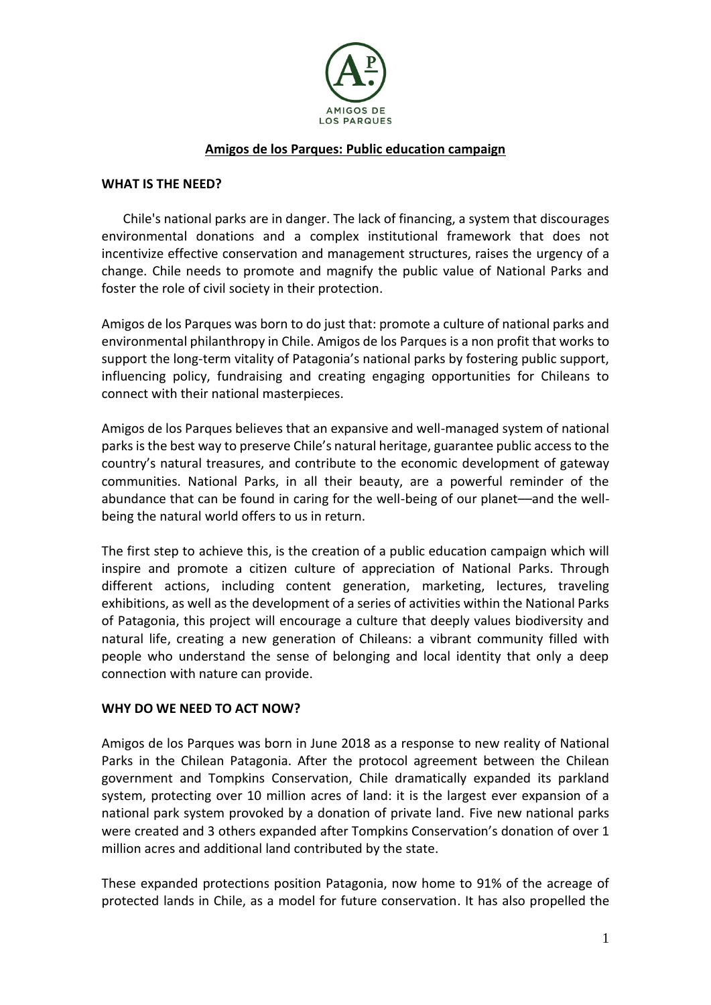

## **Amigos de los Parques: Public education campaign**

## **WHAT IS THE NEED?**

Chile's national parks are in danger. The lack of financing, a system that discourages environmental donations and a complex institutional framework that does not incentivize effective conservation and management structures, raises the urgency of a change. Chile needs to promote and magnify the public value of National Parks and foster the role of civil society in their protection.

Amigos de los Parques was born to do just that: promote a culture of national parks and environmental philanthropy in Chile. Amigos de los Parques is a non profit that works to support the long-term vitality of Patagonia's national parks by fostering public support, influencing policy, fundraising and creating engaging opportunities for Chileans to connect with their national masterpieces.

Amigos de los Parques believes that an expansive and well-managed system of national parks is the best way to preserve Chile's natural heritage, guarantee public access to the country's natural treasures, and contribute to the economic development of gateway communities. National Parks, in all their beauty, are a powerful reminder of the abundance that can be found in caring for the well-being of our planet––and the wellbeing the natural world offers to us in return.

The first step to achieve this, is the creation of a public education campaign which will inspire and promote a citizen culture of appreciation of National Parks. Through different actions, including content generation, marketing, lectures, traveling exhibitions, as well as the development of a series of activities within the National Parks of Patagonia, this project will encourage a culture that deeply values biodiversity and natural life, creating a new generation of Chileans: a vibrant community filled with people who understand the sense of belonging and local identity that only a deep connection with nature can provide.

## **WHY DO WE NEED TO ACT NOW?**

Amigos de los Parques was born in June 2018 as a response to new reality of National Parks in the Chilean Patagonia. After the protocol agreement between the Chilean government and Tompkins Conservation, Chile dramatically expanded its parkland system, protecting over 10 million acres of land: it is the largest ever expansion of a national park system provoked by a donation of private land. Five new national parks were created and 3 others expanded after Tompkins Conservation's donation of over 1 million acres and additional land contributed by the state.

These expanded protections position Patagonia, now home to 91% of the acreage of protected lands in Chile, as a model for future conservation. It has also propelled the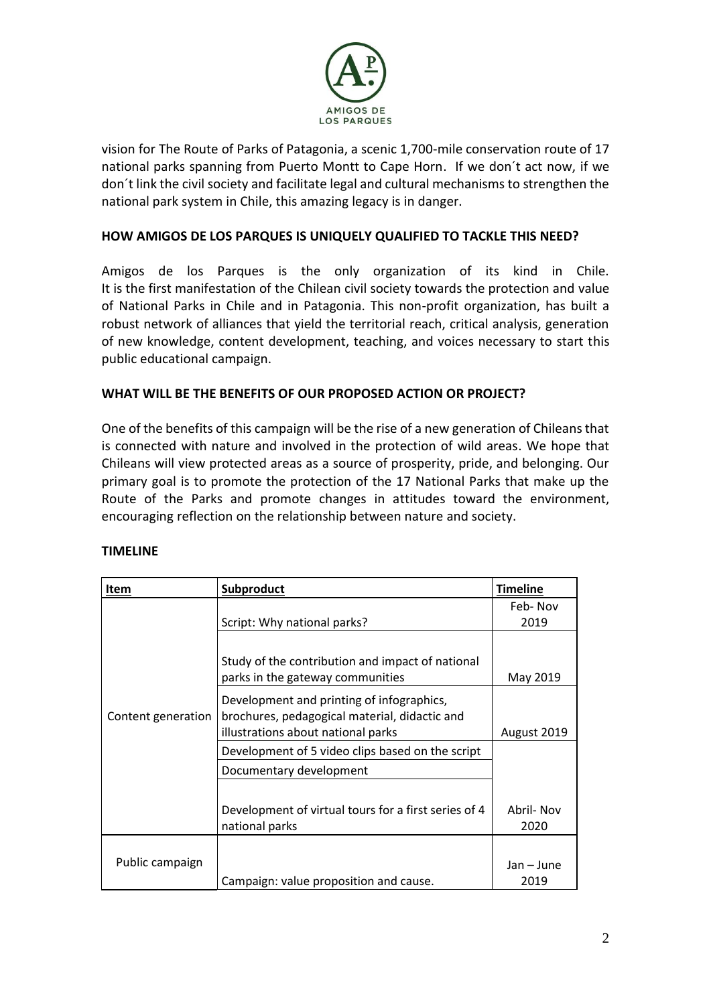

vision for The Route of Parks of Patagonia, a scenic 1,700-mile conservation route of 17 national parks spanning from Puerto Montt to Cape Horn. If we don´t act now, if we don´t link the civil society and facilitate legal and cultural mechanisms to strengthen the national park system in Chile, this amazing legacy is in danger.

# **HOW AMIGOS DE LOS PARQUES IS UNIQUELY QUALIFIED TO TACKLE THIS NEED?**

Amigos de los Parques is the only organization of its kind in Chile. It is the first manifestation of the Chilean civil society towards the protection and value of National Parks in Chile and in Patagonia. This non-profit organization, has built a robust network of alliances that yield the territorial reach, critical analysis, generation of new knowledge, content development, teaching, and voices necessary to start this public educational campaign.

## **WHAT WILL BE THE BENEFITS OF OUR PROPOSED ACTION OR PROJECT?**

One of the benefits of this campaign will be the rise of a new generation of Chileans that is connected with nature and involved in the protection of wild areas. We hope that Chileans will view protected areas as a source of prosperity, pride, and belonging. Our primary goal is to promote the protection of the 17 National Parks that make up the Route of the Parks and promote changes in attitudes toward the environment, encouraging reflection on the relationship between nature and society.

| Item               | Subproduct                                                                                                                       | <b>Timeline</b>    |
|--------------------|----------------------------------------------------------------------------------------------------------------------------------|--------------------|
| Content generation |                                                                                                                                  | Feb-Nov            |
|                    | Script: Why national parks?                                                                                                      | 2019               |
|                    | Study of the contribution and impact of national<br>parks in the gateway communities                                             | May 2019           |
|                    | Development and printing of infographics,<br>brochures, pedagogical material, didactic and<br>illustrations about national parks | August 2019        |
|                    | Development of 5 video clips based on the script                                                                                 |                    |
|                    | Documentary development                                                                                                          |                    |
|                    | Development of virtual tours for a first series of 4<br>national parks                                                           | Abril- Nov<br>2020 |
| Public campaign    | Campaign: value proposition and cause.                                                                                           | Jan – June<br>2019 |

#### **TIMELINE**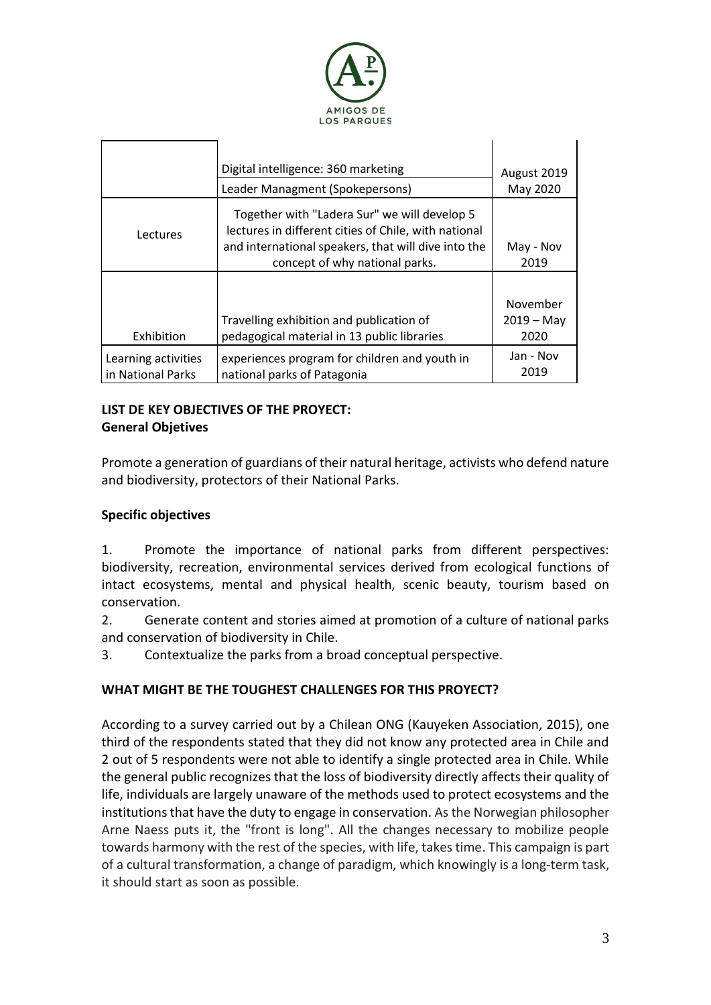

|                                          | Digital intelligence: 360 marketing<br>Leader Managment (Spokepersons)                                                                                                                        | August 2019<br>May 2020          |
|------------------------------------------|-----------------------------------------------------------------------------------------------------------------------------------------------------------------------------------------------|----------------------------------|
| Lectures                                 | Together with "Ladera Sur" we will develop 5<br>lectures in different cities of Chile, with national<br>and international speakers, that will dive into the<br>concept of why national parks. | May - Nov<br>2019                |
| Exhibition                               | Travelling exhibition and publication of<br>pedagogical material in 13 public libraries                                                                                                       | November<br>$2019 - May$<br>2020 |
| Learning activities<br>in National Parks | experiences program for children and youth in<br>national parks of Patagonia                                                                                                                  | Jan - Nov<br>2019                |

# **LIST DE KEY OBJECTIVES OF THE PROYECT:**

# **General Objetives**

Promote a generation of guardians of their natural heritage, activists who defend nature and biodiversity, protectors of their National Parks.

# **Specific objectives**

1. Promote the importance of national parks from different perspectives: biodiversity, recreation, environmental services derived from ecological functions of intact ecosystems, mental and physical health, scenic beauty, tourism based on conservation.

2. Generate content and stories aimed at promotion of a culture of national parks and conservation of biodiversity in Chile.

3. Contextualize the parks from a broad conceptual perspective.

# **WHAT MIGHT BE THE TOUGHEST CHALLENGES FOR THIS PROYECT?**

According to a survey carried out by a Chilean ONG (Kauyeken Association, 2015), one third of the respondents stated that they did not know any protected area in Chile and 2 out of 5 respondents were not able to identify a single protected area in Chile. While the general public recognizes that the loss of biodiversity directly affects their quality of life, individuals are largely unaware of the methods used to protect ecosystems and the institutions that have the duty to engage in conservation. As the Norwegian philosopher Arne Naess puts it, the "front is long". All the changes necessary to mobilize people towards harmony with the rest of the species, with life, takes time. This campaign is part of a cultural transformation, a change of paradigm, which knowingly is a long-term task, it should start as soon as possible.